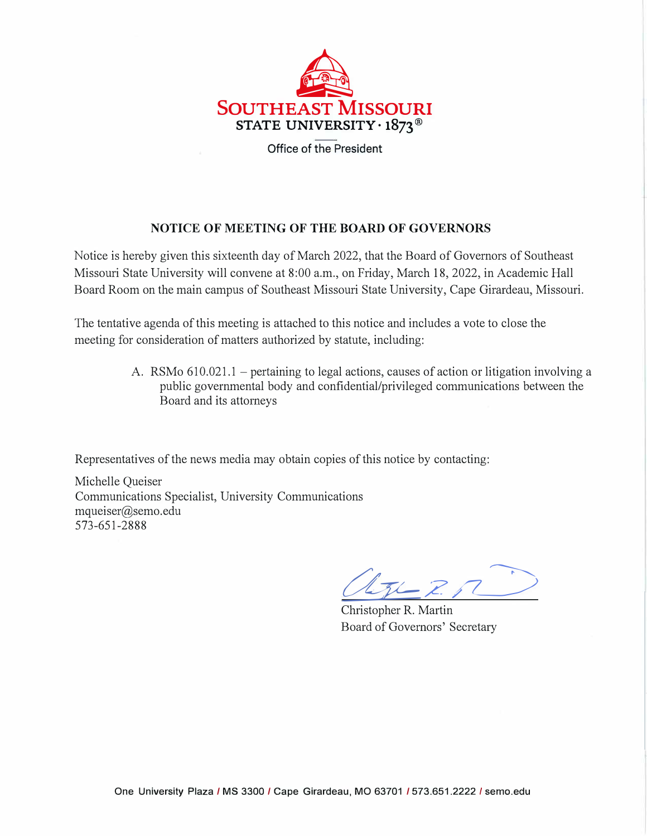

## **NOTICE OF MEETING OF THE BOARD OF GOVERNORS**

Notice is hereby given this sixteenth day of March 2022, that the Board of Governors of Southeast Missouri State University will convene at 8:00 a.m., on Friday, March 18, 2022, in Academic Hall Board Room on the main campus of Southeast Missouri State University, Cape Girardeau, Missouri.

The tentative agenda of this meeting is attached to this notice and includes a vote to close the meeting for consideration of matters authorized by statute, including:

> A. RSMo 610.021.1 – pertaining to legal actions, causes of action or litigation involving a public governmental body and confidential/privileged communications between the Board and its attorneys

Representatives of the news media may obtain copies of this notice by contacting:

Michelle Queiser Communications Specialist, University Communications [mqueiser@semo.edu](mailto:mqueiser@semo.edu)  573-651-2888

 $-2.7$ 

Christopher R. Martin Board of Governors' Secretary